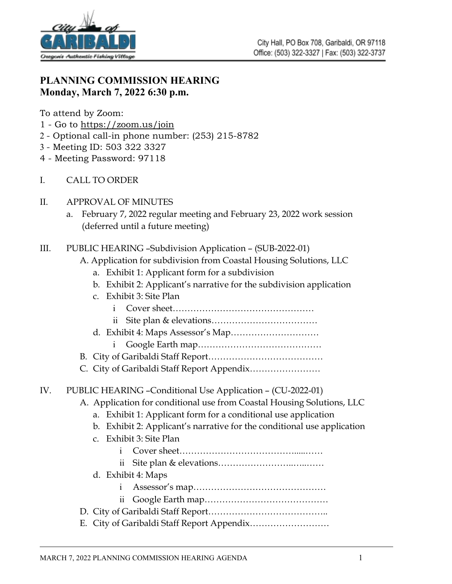

# **PLANNING COMMISSION HEARING Monday, March 7, 2022 6:30 p.m.**

To attend by Zoom:

- 1 Go to<https://zoom.us/join>
- 2 Optional call-in phone number: (253) 215-8782
- 3 Meeting ID: 503 322 3327
- 4 Meeting Password: 97118
- I. CALL TO ORDER
- II. APPROVAL OF MINUTES
	- a. February 7, 2022 regular meeting and February 23, 2022 work session (deferred until a future meeting)

### III. PUBLIC HEARING –Subdivision Application – (SUB-2022-01)

- A. Application for subdivision from Coastal Housing Solutions, LLC
	- a. Exhibit 1: Applicant form for a subdivision
	- b. Exhibit 2: Applicant's narrative for the subdivision application
	- c. Exhibit 3: Site Plan
		- i Cover sheet…………………………………………
		- ii Site plan & elevations………………………………
	- d. Exhibit 4: Maps Assessor's Map…………………………
		- i Google Earth map……………………………………
- B. City of Garibaldi Staff Report…………………………………
- C. City of Garibaldi Staff Report Appendix……………………

## IV. PUBLIC HEARING –Conditional Use Application – (CU-2022-01)

- A. Application for conditional use from Coastal Housing Solutions, LLC
	- a. Exhibit 1: Applicant form for a conditional use application
	- b. Exhibit 2: Applicant's narrative for the conditional use application
	- c. Exhibit 3: Site Plan
		- i Cover sheet………………………………….....……
		- ii Site plan & elevations……………………..…..……
	- d. Exhibit 4: Maps
		- i Assessor's map………………………………………
		- ii Google Earth map……………………………………
- D. City of Garibaldi Staff Report…………………………………..
- E. City of Garibaldi Staff Report Appendix………………………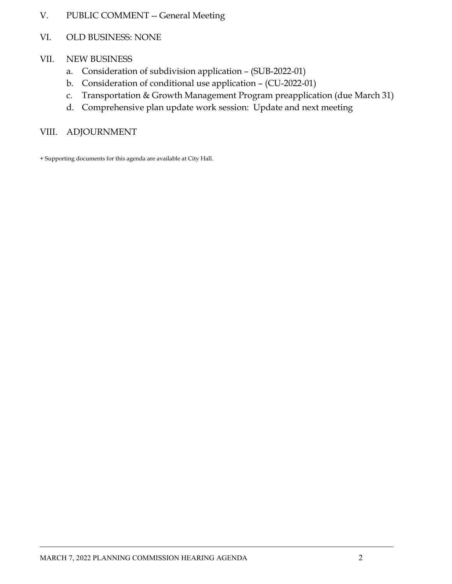- V. PUBLIC COMMENT -- General Meeting
- VI. OLD BUSINESS: NONE
- VII. NEW BUSINESS
	- a. Consideration of subdivision application (SUB-2022-01)
	- b. Consideration of conditional use application (CU-2022-01)
	- c. Transportation & Growth Management Program preapplication (due March 31)
	- d. Comprehensive plan update work session: Update and next meeting

#### VIII. ADJOURNMENT

+ Supporting documents for this agenda are available at City Hall.